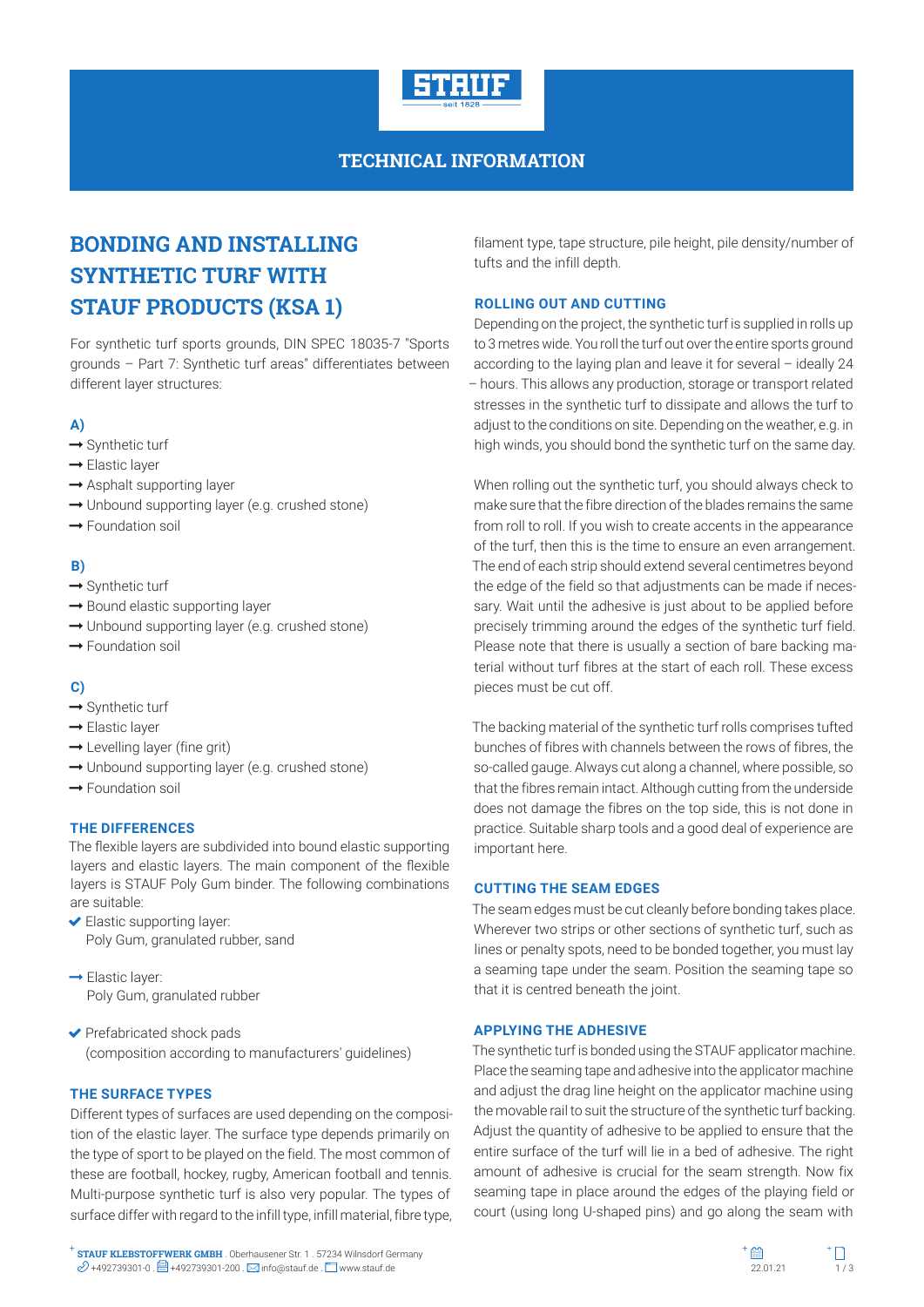

# **TECHNICAL INFORMATION**

# **BONDING AND INSTALLING SYNTHETIC TURF WITH STAUF PRODUCTS (KSA 1)**

For synthetic turf sports grounds, DIN SPEC 18035-7 "Sports grounds – Part 7: Synthetic turf areas" differentiates between different layer structures:

## **A)**

- $\rightarrow$  Synthetic turf
- → Elastic layer
- $\rightarrow$  Asphalt supporting layer
- $\rightarrow$  Unbound supporting layer (e.g. crushed stone)
- **→** Foundation soil

## **B)**

- $\rightarrow$  Synthetic turf
- $\rightarrow$  Bound elastic supporting layer
- $\rightarrow$  Unbound supporting layer (e.g. crushed stone)
- **→** Foundation soil

## **C)**

- $\rightarrow$  Synthetic turf
- $\rightarrow$  Elastic laver
- $\rightarrow$  Levelling layer (fine grit)
- $\rightarrow$  Unbound supporting layer (e.g. crushed stone)
- → Foundation soil

## **THE DIFFERENCES**

The flexible layers are subdivided into bound elastic supporting layers and elastic layers. The main component of the flexible layers is STAUF Poly Gum binder. The following combinations are suitable:

- Elastic supporting layer: Poly Gum, granulated rubber, sand
- $\rightarrow$  Elastic layer: Poly Gum, granulated rubber
- ◆ Prefabricated shock pads (composition according to manufacturers' guidelines)

## **THE SURFACE TYPES**

Different types of surfaces are used depending on the composition of the elastic layer. The surface type depends primarily on the type of sport to be played on the field. The most common of these are football, hockey, rugby, American football and tennis. Multi-purpose synthetic turf is also very popular. The types of surface differ with regard to the infill type, infill material, fibre type,

filament type, tape structure, pile height, pile density/number of tufts and the infill depth.

## **ROLLING OUT AND CUTTING**

Depending on the project, the synthetic turf is supplied in rolls up to 3 metres wide. You roll the turf out over the entire sports ground according to the laying plan and leave it for several – ideally 24 – hours. This allows any production, storage or transport related stresses in the synthetic turf to dissipate and allows the turf to adjust to the conditions on site. Depending on the weather, e.g. in high winds, you should bond the synthetic turf on the same day.

When rolling out the synthetic turf, you should always check to make sure that the fibre direction of the blades remains the same from roll to roll. If you wish to create accents in the appearance of the turf, then this is the time to ensure an even arrangement. The end of each strip should extend several centimetres beyond the edge of the field so that adjustments can be made if necessary. Wait until the adhesive is just about to be applied before precisely trimming around the edges of the synthetic turf field. Please note that there is usually a section of bare backing material without turf fibres at the start of each roll. These excess pieces must be cut off.

The backing material of the synthetic turf rolls comprises tufted bunches of fibres with channels between the rows of fibres, the so-called gauge. Always cut along a channel, where possible, so that the fibres remain intact. Although cutting from the underside does not damage the fibres on the top side, this is not done in practice. Suitable sharp tools and a good deal of experience are important here.

## **CUTTING THE SEAM EDGES**

The seam edges must be cut cleanly before bonding takes place. Wherever two strips or other sections of synthetic turf, such as lines or penalty spots, need to be bonded together, you must lay a seaming tape under the seam. Position the seaming tape so that it is centred beneath the joint.

#### **APPLYING THE ADHESIVE**

The synthetic turf is bonded using the STAUF applicator machine. Place the seaming tape and adhesive into the applicator machine and adjust the drag line height on the applicator machine using the movable rail to suit the structure of the synthetic turf backing. Adjust the quantity of adhesive to be applied to ensure that the entire surface of the turf will lie in a bed of adhesive. The right amount of adhesive is crucial for the seam strength. Now fix seaming tape in place around the edges of the playing field or court (using long U-shaped pins) and go along the seam with

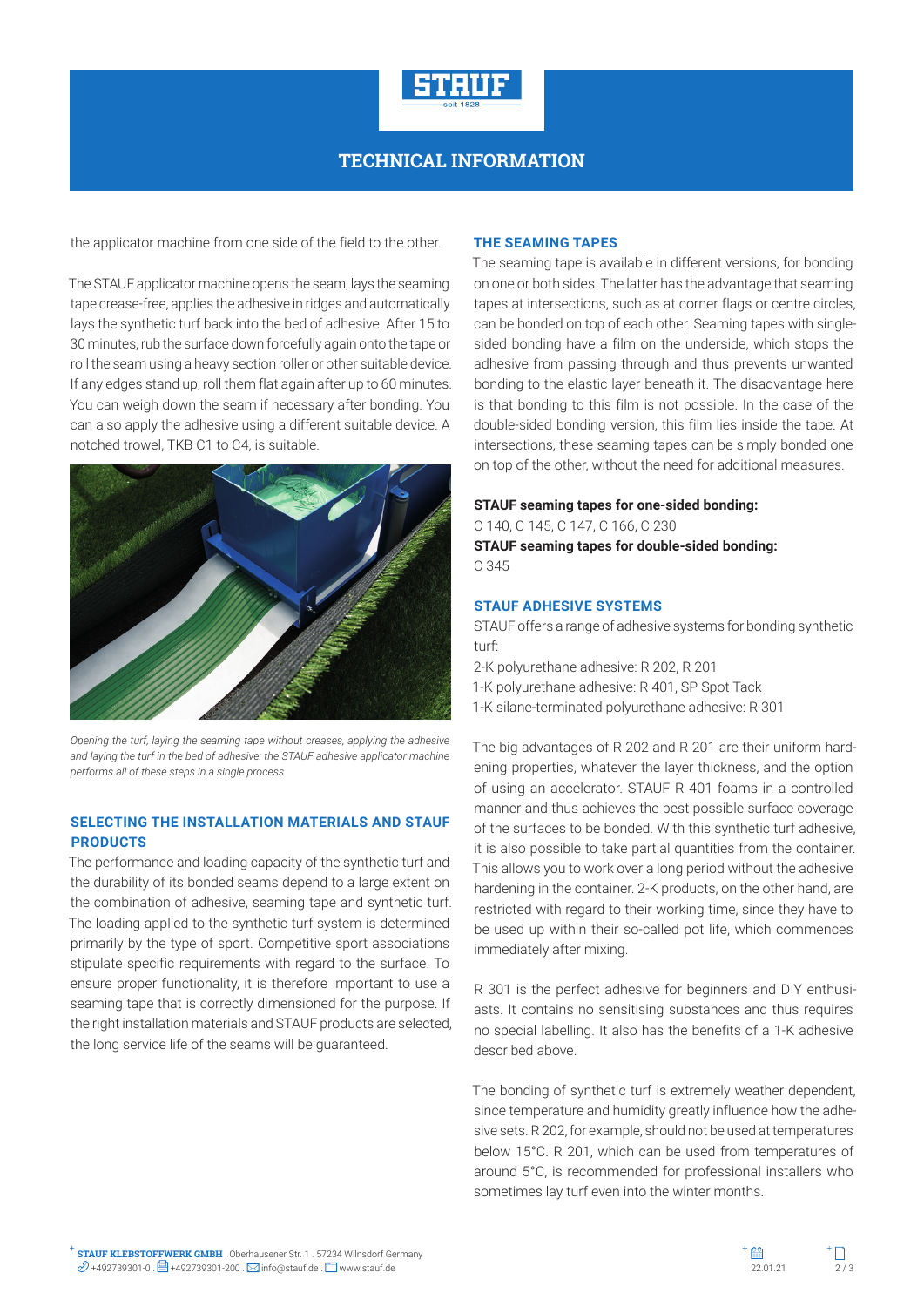

## **TECHNICAL INFORMATION**

the applicator machine from one side of the field to the other.

The STAUF applicator machine opens the seam, lays the seaming tape crease-free, applies the adhesive in ridges and automatically lays the synthetic turf back into the bed of adhesive. After 15 to 30 minutes, rub the surface down forcefully again onto the tape or roll the seam using a heavy section roller or other suitable device. If any edges stand up, roll them flat again after up to 60 minutes. You can weigh down the seam if necessary after bonding. You can also apply the adhesive using a different suitable device. A notched trowel, TKB C1 to C4, is suitable.



*Opening the turf, laying the seaming tape without creases, applying the adhesive and laying the turf in the bed of adhesive: the STAUF adhesive applicator machine performs all of these steps in a single process.*

#### **SELECTING THE INSTALLATION MATERIALS AND STAUF PRODUCTS**

The performance and loading capacity of the synthetic turf and the durability of its bonded seams depend to a large extent on the combination of adhesive, seaming tape and synthetic turf. The loading applied to the synthetic turf system is determined primarily by the type of sport. Competitive sport associations stipulate specific requirements with regard to the surface. To ensure proper functionality, it is therefore important to use a seaming tape that is correctly dimensioned for the purpose. If the right installation materials and STAUF products are selected, the long service life of the seams will be guaranteed.

#### **THE SEAMING TAPES**

The seaming tape is available in different versions, for bonding on one or both sides. The latter has the advantage that seaming tapes at intersections, such as at corner flags or centre circles, can be bonded on top of each other. Seaming tapes with singlesided bonding have a film on the underside, which stops the adhesive from passing through and thus prevents unwanted bonding to the elastic layer beneath it. The disadvantage here is that bonding to this film is not possible. In the case of the double-sided bonding version, this film lies inside the tape. At intersections, these seaming tapes can be simply bonded one on top of the other, without the need for additional measures.

#### **STAUF seaming tapes for one-sided bonding:**

C 140, C 145, C 147, C 166, C 230 **STAUF seaming tapes for double-sided bonding:** C 345

#### **STAUF ADHESIVE SYSTEMS**

STAUF offers a range of adhesive systems for bonding synthetic turf:

2-K polyurethane adhesive: R 202, R 201

- 1-K polyurethane adhesive: R 401, SP Spot Tack
- 1-K silane-terminated polyurethane adhesive: R 301

The big advantages of R 202 and R 201 are their uniform hardening properties, whatever the layer thickness, and the option of using an accelerator. STAUF R 401 foams in a controlled manner and thus achieves the best possible surface coverage of the surfaces to be bonded. With this synthetic turf adhesive, it is also possible to take partial quantities from the container. This allows you to work over a long period without the adhesive hardening in the container. 2-K products, on the other hand, are restricted with regard to their working time, since they have to be used up within their so-called pot life, which commences immediately after mixing.

R 301 is the perfect adhesive for beginners and DIY enthusiasts. It contains no sensitising substances and thus requires no special labelling. It also has the benefits of a 1-K adhesive described above.

The bonding of synthetic turf is extremely weather dependent, since temperature and humidity greatly influence how the adhesive sets. R 202, for example, should not be used at temperatures below 15°C. R 201, which can be used from temperatures of around 5°C, is recommended for professional installers who sometimes lay turf even into the winter months.